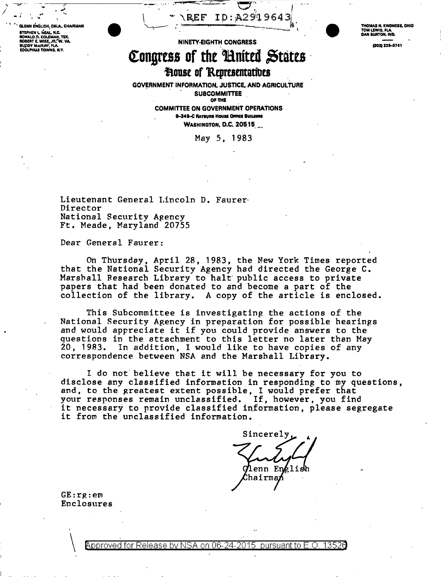ENN ENGLISH, OKLA., CHAIRMAN STEPHEN L NEAL, N.C.<br>RONALD D. COLEMAN, TEX.<br>ROBERT E. WISE, JR. W. VA. **RUDDY MACKAN' FLA** EDOLPHUS TOWNS, N.Y.

ID: A2919643  $\backslash$  REF

THOMAS N, KINDNESS, OHIO<br>TOM LEWIS, FLA.<br>DAN BURTON, IND.

(202) 225-3741

## NINETY-EIGHTH CONGRESS Congress of the United States **House of Representatives**

**GOVERNMENT INFORMATION, JUSTICE, AND AGRICULTURE SUBCOMMITTEE** OF THE

> **COMMITTEE ON GOVERNMENT OPERATIONS B-349-C RAYBURN HOUSE OFFICE BUILDING WASHINGTON, D.C. 20515**

> > May 5, 1983

Lieutenant General Lincoln D. Faurer Director National Security Agency Ft. Meade, Maryland 20755

Dear General Faurer:

On Thursday, April 28, 1983, the New York Times reported<br>that the National Security Agency had directed the George C. Marshall Research Library to halt public access to private papers that had been donated to and become a part of the collection of the library. A copy of the article is enclosed.

This Subcommittee is investigating the actions of the National Security Agency in preparation for possible hearings and would appreciate it if you could provide answers to the questions in the attachment to this letter no later than May 20, 1983. In addition, I would like to have copies of any correspondence between NSA and the Marshall Library.

I do not believe that it will be necessary for you to disclose any classified information in responding to my questions, and, to the greatest extent possible, I would prefer that your responses remain unclassified. If, however, you find<br>it necessary to provide classified information, please segregate it from the unclassified information.

Sincerely Glenn En⁄elis Chairman

 $GE:rg:em$ Enclosures

> Approved for Release by NSA on 06-24- $2015$  pursuant to E.O. 13526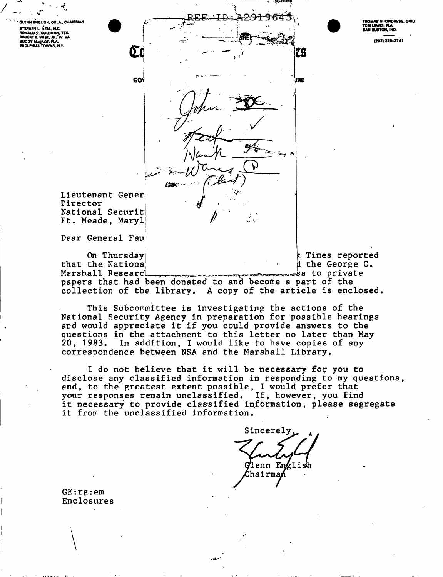GLENN ENGLISH, OKLA., CHAIRMAN **CONTRACT CONSUMING THE STEPHEN L. NEW ROOM**<br>**RONALD O. COLEMAN, TEX.<br>ROBERT E. WISE, JR. W. VA.<br>BUDDY MACKAY, FLA.<br>EDOLPHUS TOWNS, N.Y.** 



28

JRE

LAS N. KINDNESS, OHIO TOM LEWIS, FLA.<br>DAN BURTON, IND.

(202) 225-3741

Lieutenant Gener Director National Securit Ft. Meade, Maryl

Œί

GO'

**Chair** 

Dear General Fau

On Thursday that the National Marshall Research

Times reported d the George C. ss to private.

papers that had been donated to and become a part of the collection of the library. A copy of the article is enclosed.

الحالي

This Subcommittee is investigating the actions of the National Security Agency in preparation for possible hearings and would appreciate it if you could provide answers to the questions in the attachment to this letter no later than May In addition, I would like to have copies of any 20, 1983. correspondence between NSA and the Marshall Library.

I do not believe that it will be necessary for you to disclose any classified information in responding to my questions, and, to the greatest extent possible, I would prefer that your responses remain unclassified. If, however, you find<br>it necessary to provide classified information, please segregate it from the unclassified information.

Sincerely Glenn En¢lis hairma/

 $GE:rg:em$ Enclosures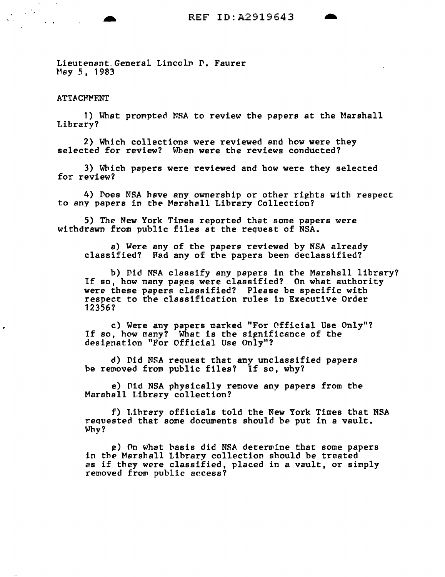Lieutenant General Lincoln P. Faurer May 5, 1983

**ATTACHMENT** 

 $\mathcal{L}^{\text{max}}(\mathcal{A})$ 

 $\mathcal{L}^{\mathcal{L}}$  and  $\mathcal{L}^{\mathcal{L}}$  and  $\mathcal{L}^{\mathcal{L}}$ 

1) What prompted NSA to review the papers at the Marshall Library?

2) Which collections were reviewed and how were they selected for review? When were the reviews conducted?

3) Which papers were reviewed and how were they selected for review?

4) Does NSA have any ownership or other rights with respect to any papers in the Marshall Library Collection?

5) The New York Times reported that some papers were withdrawn from public files at the request of NSA.

a) Were any of the papers reviewed by NSA already classified? Fad any of the papers been declassified?

b) Did NSA classify any papers in the Marshall library? If so, how many papes were classified? On what authority were these papers classified? Please be specific with respect to the classification rules in Executive Order 12356?

c) Were any papers marked "For Official Use Only"?<br>If so, how many? What is the significance of the designation "For Official Use Only"?

d) Did NSA reQuest that any unclassified papers be removed from public files? If so, why?

e) Did NSA physically remove any papers from the Marshall Library collection?

f) l.ihrary officials told the New York Times that NSA reQuested that some documents should be put in a vault. Why?

~) nn what basis did NSA determine that some papers in the Marshall Librarv collection should be treated as if they were classified, placed in a vault, or simply removed frow public access?